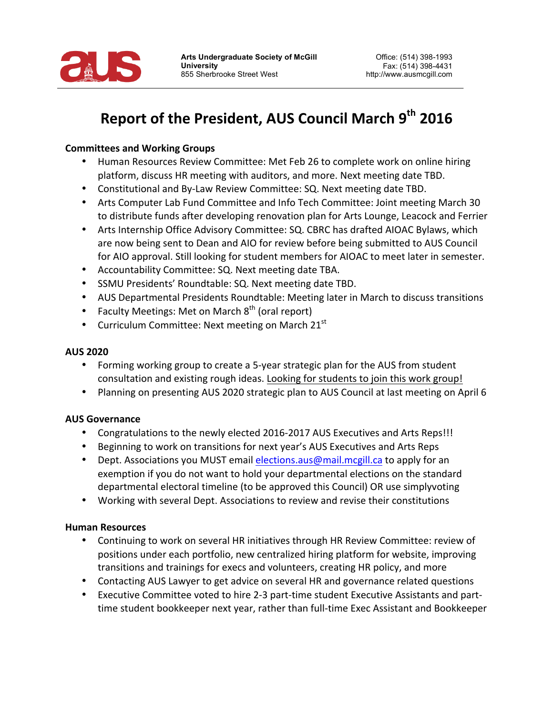

# **Report of the President, AUS Council March 9th 2016**

# **Committees and Working Groups**

- Human Resources Review Committee: Met Feb 26 to complete work on online hiring platform, discuss HR meeting with auditors, and more. Next meeting date TBD.
- Constitutional and By-Law Review Committee: SQ. Next meeting date TBD.
- Arts Computer Lab Fund Committee and Info Tech Committee: Joint meeting March 30 to distribute funds after developing renovation plan for Arts Lounge, Leacock and Ferrier
- Arts Internship Office Advisory Committee: SQ. CBRC has drafted AIOAC Bylaws, which are now being sent to Dean and AIO for review before being submitted to AUS Council for AIO approval. Still looking for student members for AIOAC to meet later in semester.
- Accountability Committee: SQ. Next meeting date TBA.
- SSMU Presidents' Roundtable: SQ. Next meeting date TBD.
- AUS Departmental Presidents Roundtable: Meeting later in March to discuss transitions
- Faculty Meetings: Met on March  $8<sup>th</sup>$  (oral report)
- Curriculum Committee: Next meeting on March  $21<sup>st</sup>$

### **AUS 2020**

- Forming working group to create a 5-year strategic plan for the AUS from student consultation and existing rough ideas. Looking for students to join this work group!
- Planning on presenting AUS 2020 strategic plan to AUS Council at last meeting on April 6

# **AUS Governance**

- Congratulations to the newly elected 2016-2017 AUS Executives and Arts Reps!!!
- Beginning to work on transitions for next year's AUS Executives and Arts Reps
- Dept. Associations you MUST email elections.aus@mail.mcgill.ca to apply for an exemption if you do not want to hold your departmental elections on the standard departmental electoral timeline (to be approved this Council) OR use simplyvoting
- Working with several Dept. Associations to review and revise their constitutions

#### **Human Resources**

- Continuing to work on several HR initiatives through HR Review Committee: review of positions under each portfolio, new centralized hiring platform for website, improving transitions and trainings for execs and volunteers, creating HR policy, and more
- Contacting AUS Lawyer to get advice on several HR and governance related questions
- Executive Committee voted to hire 2-3 part-time student Executive Assistants and parttime student bookkeeper next year, rather than full-time Exec Assistant and Bookkeeper